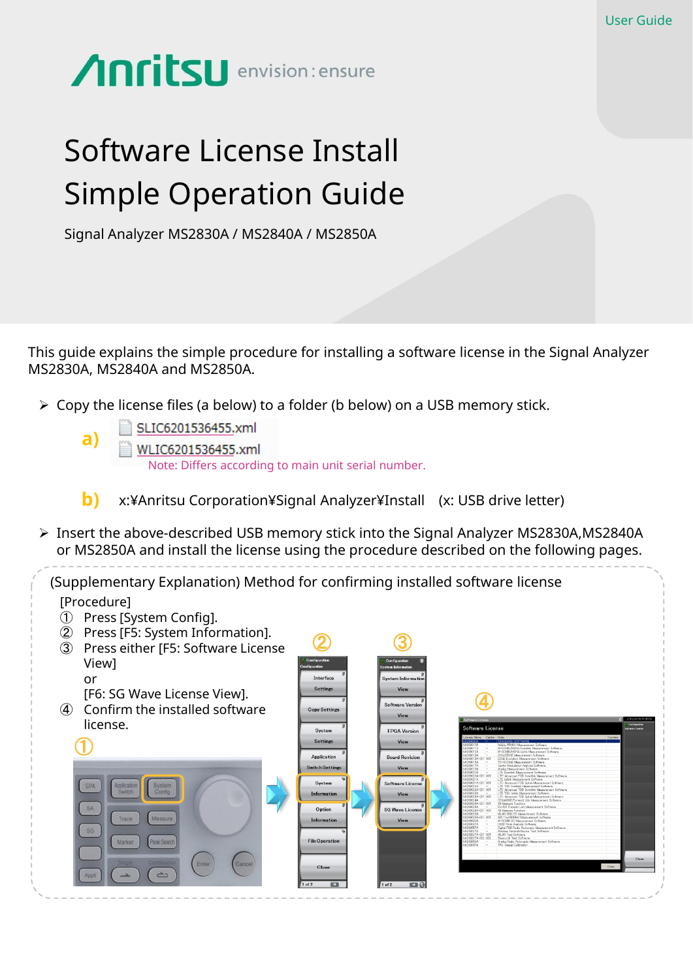## **Anritsu** envision: ensure

## Software License Install Simple Operation Guide

Signal Analyzer MS2830A / MS2840A / MS2850A

This guide explains the simple procedure for installing a software license in the Signal Analyzer MS2830A, MS2840A and MS2850A.

- $\triangleright$  Copy the license files (a below) to a folder (b below) on a USB memory stick.
	- SLIC6201536455.xml **a)** WLIC6201536455.xml Note: Differs according to main unit serial number.
	- x:¥Anritsu Corporation¥Signal Analyzer¥Install (x: USB drive letter) **b)**
- Insert the above-described USB memory stick into the Signal Analyzer MS2830A,MS2840A or MS2850A and install the license using the procedure described on the following pages.

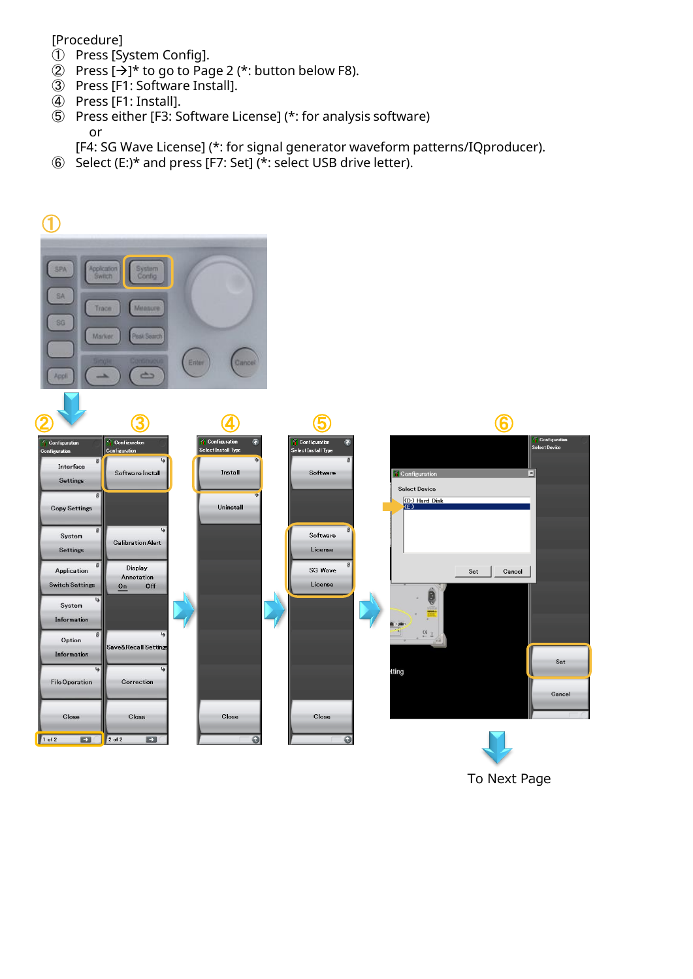## [Procedure]

- ① Press [System Config].
- 2 Press  $[\rightarrow]^{*}$  to go to Page 2 (\*: button below F8).
- ③ Press [F1: Software Install].
- ④ Press [F1: Install].
- ⑤ Press either [F3: Software License] (\*: for analysis software) or

[F4: SG Wave License] (\*: for signal generator waveform patterns/IQproducer).

⑥ Select (E:)\* and press [F7: Set] (\*: select USB drive letter).



To Next Page